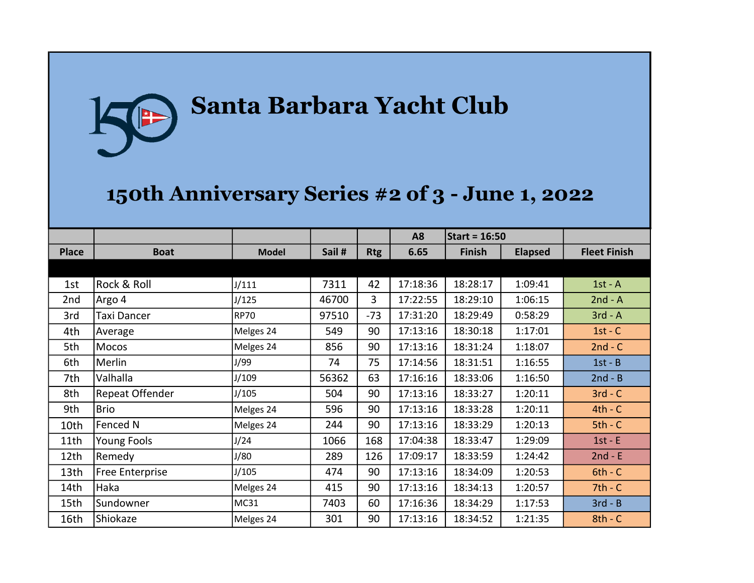## Santa Barbara Yacht Club P

## 150th Anniversary Series #2 of 3 - June 1, 2022

|              |                    |              |        |            | A <sub>8</sub> | Start = $16:50$ |                |                     |
|--------------|--------------------|--------------|--------|------------|----------------|-----------------|----------------|---------------------|
| <b>Place</b> | <b>Boat</b>        | <b>Model</b> | Sail # | <b>Rtg</b> | 6.65           | <b>Finish</b>   | <b>Elapsed</b> | <b>Fleet Finish</b> |
|              |                    |              |        |            |                |                 |                |                     |
| 1st          | Rock & Roll        | J/111        | 7311   | 42         | 17:18:36       | 18:28:17        | 1:09:41        | $1st - A$           |
| 2nd          | Argo 4             | J/125        | 46700  | 3          | 17:22:55       | 18:29:10        | 1:06:15        | $2nd - A$           |
| 3rd          | Taxi Dancer        | <b>RP70</b>  | 97510  | $-73$      | 17:31:20       | 18:29:49        | 0:58:29        | $3rd - A$           |
| 4th          | Average            | Melges 24    | 549    | 90         | 17:13:16       | 18:30:18        | 1:17:01        | $1st - C$           |
| 5th          | <b>Mocos</b>       | Melges 24    | 856    | 90         | 17:13:16       | 18:31:24        | 1:18:07        | $2nd - C$           |
| 6th          | Merlin             | J/99         | 74     | 75         | 17:14:56       | 18:31:51        | 1:16:55        | $1st - B$           |
| 7th          | Valhalla           | J/109        | 56362  | 63         | 17:16:16       | 18:33:06        | 1:16:50        | $2nd - B$           |
| 8th          | Repeat Offender    | J/105        | 504    | 90         | 17:13:16       | 18:33:27        | 1:20:11        | $3rd - C$           |
| 9th          | <b>Brio</b>        | Melges 24    | 596    | 90         | 17:13:16       | 18:33:28        | 1:20:11        | $4th - C$           |
| 10th         | Fenced N           | Melges 24    | 244    | 90         | 17:13:16       | 18:33:29        | 1:20:13        | $5th - C$           |
| 11th         | <b>Young Fools</b> | J/24         | 1066   | 168        | 17:04:38       | 18:33:47        | 1:29:09        | $1st - E$           |
| 12th         | Remedy             | J/80         | 289    | 126        | 17:09:17       | 18:33:59        | 1:24:42        | $2nd - E$           |
| 13th         | Free Enterprise    | J/105        | 474    | 90         | 17:13:16       | 18:34:09        | 1:20:53        | $6th - C$           |
| 14th         | Haka               | Melges 24    | 415    | 90         | 17:13:16       | 18:34:13        | 1:20:57        | $7th - C$           |
| 15th         | Sundowner          | MC31         | 7403   | 60         | 17:16:36       | 18:34:29        | 1:17:53        | $3rd - B$           |
| 16th         | Shiokaze           | Melges 24    | 301    | 90         | 17:13:16       | 18:34:52        | 1:21:35        | $8th - C$           |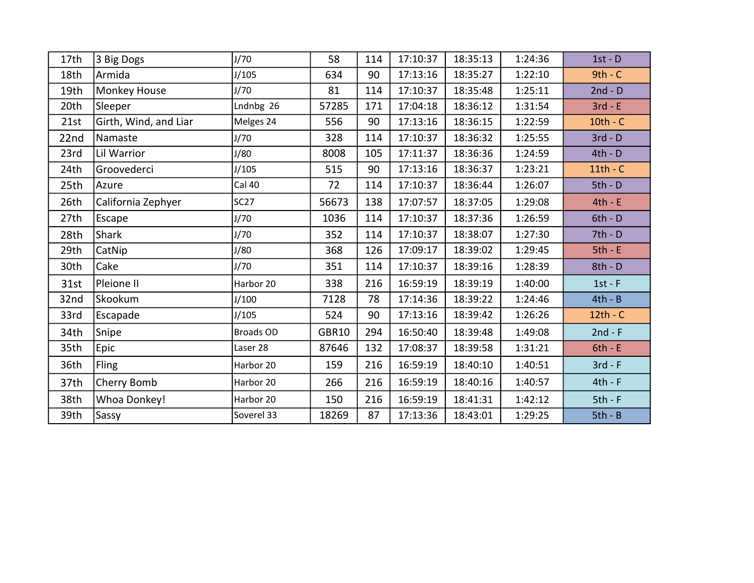| 17th | 3 Big Dogs            | J/70             | 58           | 114 | 17:10:37 | 18:35:13 | 1:24:36 | $1st - D$  |
|------|-----------------------|------------------|--------------|-----|----------|----------|---------|------------|
| 18th | Armida                | J/105            | 634          | 90  | 17:13:16 | 18:35:27 | 1:22:10 | $9th - C$  |
| 19th | Monkey House          | J/70             | 81           | 114 | 17:10:37 | 18:35:48 | 1:25:11 | $2nd - D$  |
| 20th | Sleeper               | Lndnbg 26        | 57285        | 171 | 17:04:18 | 18:36:12 | 1:31:54 | $3rd - E$  |
| 21st | Girth, Wind, and Liar | Melges 24        | 556          | 90  | 17:13:16 | 18:36:15 | 1:22:59 | $10th - C$ |
| 22nd | Namaste               | J/70             | 328          | 114 | 17:10:37 | 18:36:32 | 1:25:55 | $3rd - D$  |
| 23rd | Lil Warrior           | J/80             | 8008         | 105 | 17:11:37 | 18:36:36 | 1:24:59 | $4th - D$  |
| 24th | Groovederci           | J/105            | 515          | 90  | 17:13:16 | 18:36:37 | 1:23:21 | $11th - C$ |
| 25th | Azure                 | Cal 40           | 72           | 114 | 17:10:37 | 18:36:44 | 1:26:07 | $5th - D$  |
| 26th | California Zephyer    | <b>SC27</b>      | 56673        | 138 | 17:07:57 | 18:37:05 | 1:29:08 | $4th - E$  |
| 27th | Escape                | J/70             | 1036         | 114 | 17:10:37 | 18:37:36 | 1:26:59 | $6th - D$  |
| 28th | Shark                 | J/70             | 352          | 114 | 17:10:37 | 18:38:07 | 1:27:30 | $7th - D$  |
| 29th | CatNip                | J/80             | 368          | 126 | 17:09:17 | 18:39:02 | 1:29:45 | $5th - E$  |
| 30th | Cake                  | J/70             | 351          | 114 | 17:10:37 | 18:39:16 | 1:28:39 | $8th - D$  |
| 31st | Pleione II            | Harbor 20        | 338          | 216 | 16:59:19 | 18:39:19 | 1:40:00 | $1st - F$  |
| 32nd | Skookum               | J/100            | 7128         | 78  | 17:14:36 | 18:39:22 | 1:24:46 | $4th - B$  |
| 33rd | Escapade              | J/105            | 524          | 90  | 17:13:16 | 18:39:42 | 1:26:26 | $12th - C$ |
| 34th | Snipe                 | <b>Broads OD</b> | <b>GBR10</b> | 294 | 16:50:40 | 18:39:48 | 1:49:08 | $2nd - F$  |
| 35th | Epic                  | Laser 28         | 87646        | 132 | 17:08:37 | 18:39:58 | 1:31:21 | $6th - E$  |
| 36th | Fling                 | Harbor 20        | 159          | 216 | 16:59:19 | 18:40:10 | 1:40:51 | $3rd - F$  |
| 37th | Cherry Bomb           | Harbor 20        | 266          | 216 | 16:59:19 | 18:40:16 | 1:40:57 | $4th - F$  |
| 38th | Whoa Donkey!          | Harbor 20        | 150          | 216 | 16:59:19 | 18:41:31 | 1:42:12 | $5th - F$  |
| 39th | Sassy                 | Soverel 33       | 18269        | 87  | 17:13:36 | 18:43:01 | 1:29:25 | $5th - B$  |